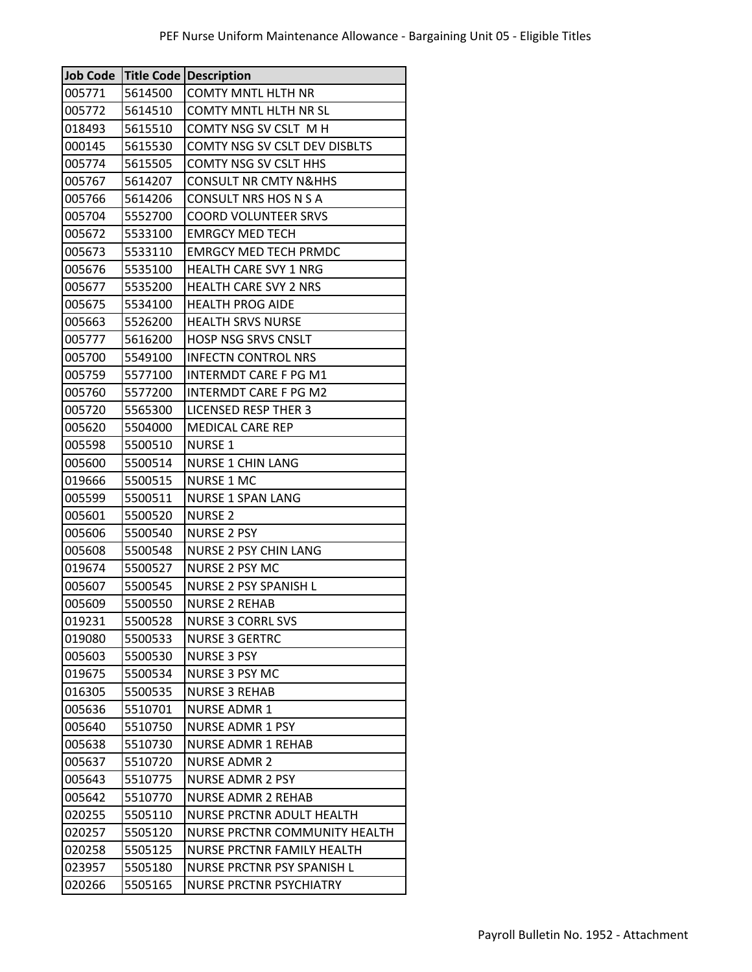| <b>Job Code</b> |         | <b>Title Code Description</b>    |
|-----------------|---------|----------------------------------|
| 005771          | 5614500 | <b>COMTY MNTL HLTH NR</b>        |
| 005772          | 5614510 | <b>COMTY MNTL HLTH NR SL</b>     |
| 018493          | 5615510 | COMTY NSG SV CSLT M H            |
| 000145          | 5615530 | COMTY NSG SV CSLT DEV DISBLTS    |
| 005774          | 5615505 | COMTY NSG SV CSLT HHS            |
| 005767          | 5614207 | <b>CONSULT NR CMTY N&amp;HHS</b> |
| 005766          | 5614206 | CONSULT NRS HOS N S A            |
| 005704          | 5552700 | <b>COORD VOLUNTEER SRVS</b>      |
| 005672          | 5533100 | <b>EMRGCY MED TECH</b>           |
| 005673          | 5533110 | <b>EMRGCY MED TECH PRMDC</b>     |
| 005676          | 5535100 | <b>HEALTH CARE SVY 1 NRG</b>     |
| 005677          | 5535200 | <b>HEALTH CARE SVY 2 NRS</b>     |
| 005675          | 5534100 | <b>HEALTH PROG AIDE</b>          |
| 005663          | 5526200 | <b>HEALTH SRVS NURSE</b>         |
| 005777          | 5616200 | HOSP NSG SRVS CNSLT              |
| 005700          | 5549100 | <b>INFECTN CONTROL NRS</b>       |
| 005759          | 5577100 | INTERMDT CARE F PG M1            |
| 005760          | 5577200 | <b>INTERMDT CARE F PG M2</b>     |
| 005720          | 5565300 | LICENSED RESP THER 3             |
| 005620          | 5504000 | <b>MEDICAL CARE REP</b>          |
| 005598          | 5500510 | <b>NURSE 1</b>                   |
| 005600          | 5500514 | <b>NURSE 1 CHIN LANG</b>         |
| 019666          | 5500515 | <b>NURSE 1 MC</b>                |
| 005599          | 5500511 | <b>NURSE 1 SPAN LANG</b>         |
| 005601          | 5500520 | <b>NURSE 2</b>                   |
| 005606          | 5500540 | <b>NURSE 2 PSY</b>               |
| 005608          | 5500548 | <b>NURSE 2 PSY CHIN LANG</b>     |
| 019674          | 5500527 | <b>NURSE 2 PSY MC</b>            |
| 005607          | 5500545 | <b>NURSE 2 PSY SPANISH L</b>     |
| 005609          | 5500550 | <b>NURSE 2 REHAB</b>             |
| 019231          | 5500528 | <b>NURSE 3 CORRL SVS</b>         |
| 019080          | 5500533 | <b>NURSE 3 GERTRC</b>            |
| 005603          | 5500530 | <b>NURSE 3 PSY</b>               |
| 019675          | 5500534 | <b>NURSE 3 PSY MC</b>            |
| 016305          | 5500535 | <b>NURSE 3 REHAB</b>             |
| 005636          | 5510701 | <b>NURSE ADMR 1</b>              |
| 005640          | 5510750 | <b>NURSE ADMR 1 PSY</b>          |
| 005638          | 5510730 | <b>NURSE ADMR 1 REHAB</b>        |
| 005637          | 5510720 | <b>NURSE ADMR 2</b>              |
| 005643          | 5510775 | <b>NURSE ADMR 2 PSY</b>          |
| 005642          | 5510770 | <b>NURSE ADMR 2 REHAB</b>        |
| 020255          | 5505110 | NURSE PRCTNR ADULT HEALTH        |
| 020257          | 5505120 | NURSE PRCTNR COMMUNITY HEALTH    |
| 020258          | 5505125 | NURSE PRCTNR FAMILY HEALTH       |
| 023957          | 5505180 | NURSE PRCTNR PSY SPANISH L       |
| 020266          | 5505165 | <b>NURSE PRCTNR PSYCHIATRY</b>   |